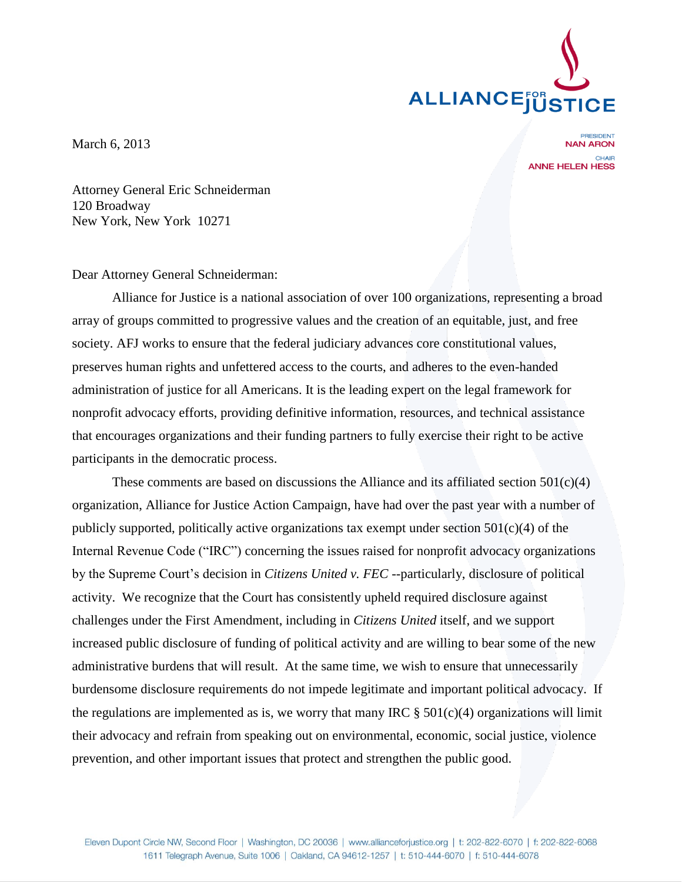

March 6, 2013

**NAN ARON** CHAIR **ANNE HELEN HESS** 

Attorney General Eric Schneiderman 120 Broadway New York, New York 10271

Dear Attorney General Schneiderman:

Alliance for Justice is a national association of over 100 organizations, representing a broad array of groups committed to progressive values and the creation of an equitable, just, and free society. AFJ works to ensure that the federal judiciary advances core constitutional values, preserves human rights and unfettered access to the courts, and adheres to the even-handed administration of justice for all Americans. It is the leading expert on the legal framework for nonprofit advocacy efforts, providing definitive information, resources, and technical assistance that encourages organizations and their funding partners to fully exercise their right to be active participants in the democratic process.

These comments are based on discussions the Alliance and its affiliated section  $501(c)(4)$ organization, Alliance for Justice Action Campaign, have had over the past year with a number of publicly supported, politically active organizations tax exempt under section  $501(c)(4)$  of the Internal Revenue Code ("IRC") concerning the issues raised for nonprofit advocacy organizations by the Supreme Court's decision in *Citizens United v. FEC* --particularly, disclosure of political activity. We recognize that the Court has consistently upheld required disclosure against challenges under the First Amendment, including in *Citizens United* itself, and we support increased public disclosure of funding of political activity and are willing to bear some of the new administrative burdens that will result. At the same time, we wish to ensure that unnecessarily burdensome disclosure requirements do not impede legitimate and important political advocacy. If the regulations are implemented as is, we worry that many IRC  $\S 501(c)(4)$  organizations will limit their advocacy and refrain from speaking out on environmental, economic, social justice, violence prevention, and other important issues that protect and strengthen the public good.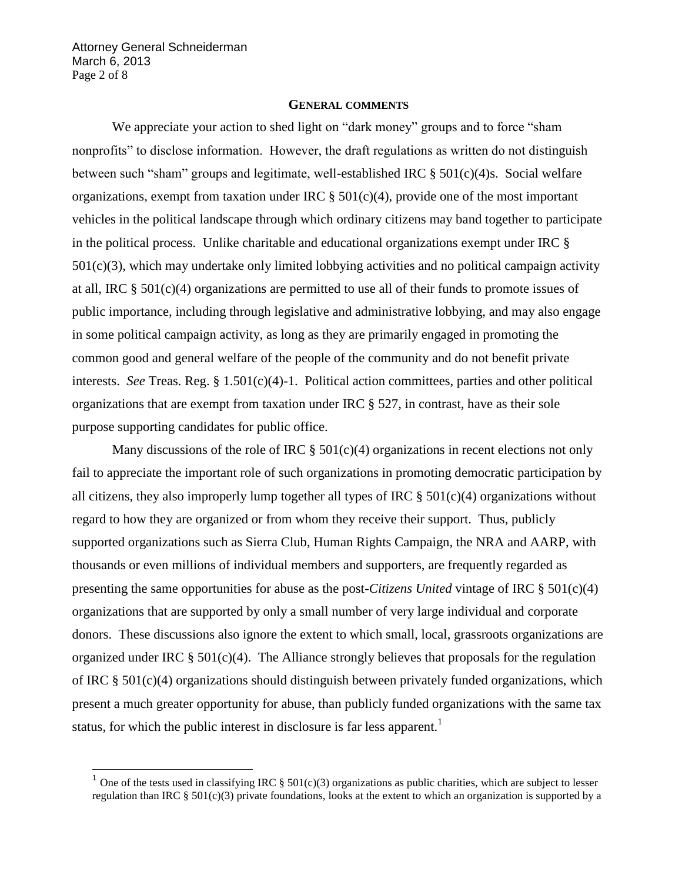Attorney General Schneiderman March 6, 2013 Page 2 of 8

## **GENERAL COMMENTS**

We appreciate your action to shed light on "dark money" groups and to force "sham nonprofits" to disclose information. However, the draft regulations as written do not distinguish between such "sham" groups and legitimate, well-established IRC  $\S$  501(c)(4)s. Social welfare organizations, exempt from taxation under IRC  $\S$  501(c)(4), provide one of the most important vehicles in the political landscape through which ordinary citizens may band together to participate in the political process. Unlike charitable and educational organizations exempt under IRC § 501(c)(3), which may undertake only limited lobbying activities and no political campaign activity at all, IRC § 501(c)(4) organizations are permitted to use all of their funds to promote issues of public importance, including through legislative and administrative lobbying, and may also engage in some political campaign activity, as long as they are primarily engaged in promoting the common good and general welfare of the people of the community and do not benefit private interests. *See* Treas. Reg. § 1.501(c)(4)-1. Political action committees, parties and other political organizations that are exempt from taxation under IRC § 527, in contrast, have as their sole purpose supporting candidates for public office.

Many discussions of the role of IRC  $\S 501(c)(4)$  organizations in recent elections not only fail to appreciate the important role of such organizations in promoting democratic participation by all citizens, they also improperly lump together all types of IRC  $\S$  501(c)(4) organizations without regard to how they are organized or from whom they receive their support. Thus, publicly supported organizations such as Sierra Club, Human Rights Campaign, the NRA and AARP, with thousands or even millions of individual members and supporters, are frequently regarded as presenting the same opportunities for abuse as the post-*Citizens United* vintage of IRC § 501(c)(4) organizations that are supported by only a small number of very large individual and corporate donors. These discussions also ignore the extent to which small, local, grassroots organizations are organized under IRC  $\S 501(c)(4)$ . The Alliance strongly believes that proposals for the regulation of IRC § 501(c)(4) organizations should distinguish between privately funded organizations, which present a much greater opportunity for abuse, than publicly funded organizations with the same tax status, for which the public interest in disclosure is far less apparent.<sup>1</sup>

<sup>&</sup>lt;sup>1</sup> One of the tests used in classifying IRC  $\S 501(c)(3)$  organizations as public charities, which are subject to lesser regulation than IRC  $\S 501(c)(3)$  private foundations, looks at the extent to which an organization is supported by a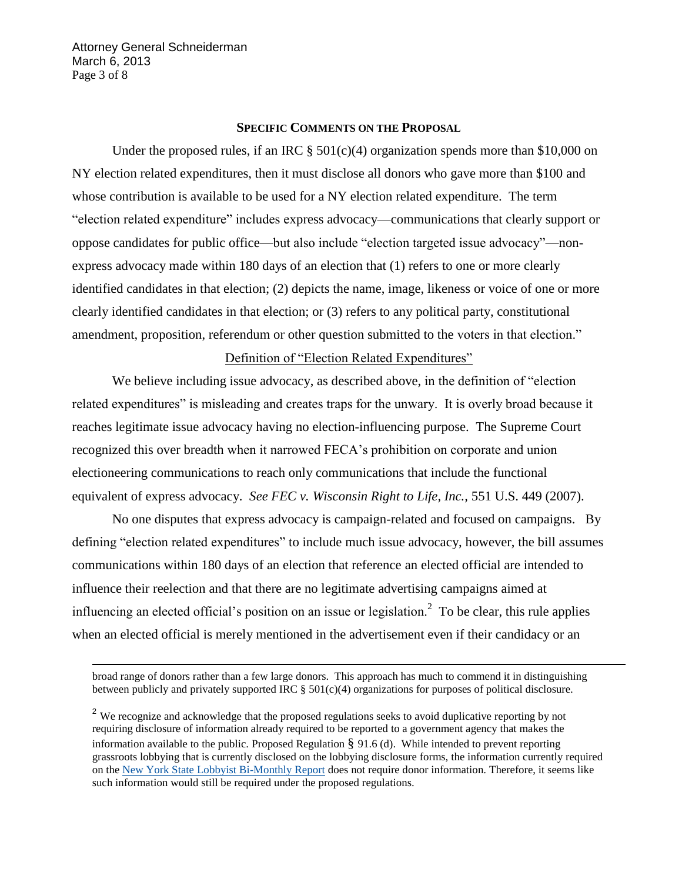Attorney General Schneiderman March 6, 2013 Page 3 of 8

-

### **SPECIFIC COMMENTS ON THE PROPOSAL**

Under the proposed rules, if an IRC  $\S 501(c)(4)$  organization spends more than \$10,000 on NY election related expenditures, then it must disclose all donors who gave more than \$100 and whose contribution is available to be used for a NY election related expenditure. The term "election related expenditure" includes express advocacy—communications that clearly support or oppose candidates for public office—but also include "election targeted issue advocacy"—nonexpress advocacy made within 180 days of an election that (1) refers to one or more clearly identified candidates in that election; (2) depicts the name, image, likeness or voice of one or more clearly identified candidates in that election; or (3) refers to any political party, constitutional amendment, proposition, referendum or other question submitted to the voters in that election."

## Definition of "Election Related Expenditures"

We believe including issue advocacy, as described above, in the definition of "election related expenditures" is misleading and creates traps for the unwary. It is overly broad because it reaches legitimate issue advocacy having no election-influencing purpose. The Supreme Court recognized this over breadth when it narrowed FECA"s prohibition on corporate and union electioneering communications to reach only communications that include the functional equivalent of express advocacy. *See FEC v. Wisconsin Right to Life, Inc.,* 551 U.S. 449 (2007).

No one disputes that express advocacy is campaign-related and focused on campaigns. By defining "election related expenditures" to include much issue advocacy, however, the bill assumes communications within 180 days of an election that reference an elected official are intended to influence their reelection and that there are no legitimate advertising campaigns aimed at influencing an elected official's position on an issue or legislation.<sup>2</sup> To be clear, this rule applies when an elected official is merely mentioned in the advertisement even if their candidacy or an

broad range of donors rather than a few large donors. This approach has much to commend it in distinguishing between publicly and privately supported IRC § 501(c)(4) organizations for purposes of political disclosure.

<sup>&</sup>lt;sup>2</sup> We recognize and acknowledge that the proposed regulations seeks to avoid duplicative reporting by not requiring disclosure of information already required to be reported to a government agency that makes the information available to the public. Proposed Regulation  $\S$  91.6 (d). While intended to prevent reporting grassroots lobbying that is currently disclosed on the lobbying disclosure forms, the information currently required on the [New York State Lobbyist Bi-Monthly Report](http://www.jcope.ny.gov/forms/lob/pdf/Lobbyist%20Bimonthly%20Report%202012%20FF.pdf) does not require donor information. Therefore, it seems like such information would still be required under the proposed regulations.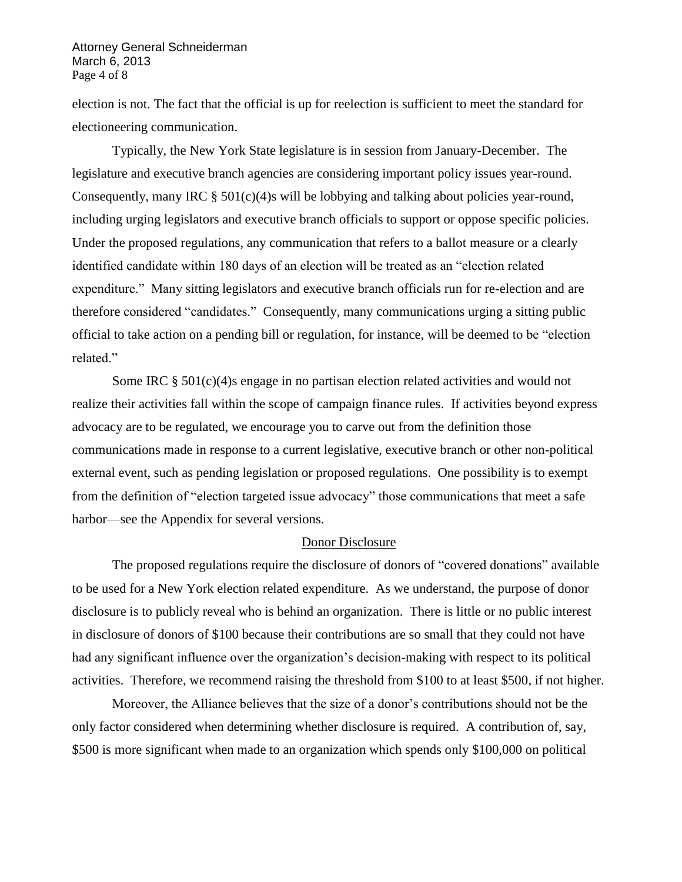Attorney General Schneiderman March 6, 2013 Page 4 of 8

election is not. The fact that the official is up for reelection is sufficient to meet the standard for electioneering communication.

Typically, the New York State legislature is in session from January-December. The legislature and executive branch agencies are considering important policy issues year-round. Consequently, many IRC  $\S 501(c)(4)$ s will be lobbying and talking about policies year-round, including urging legislators and executive branch officials to support or oppose specific policies. Under the proposed regulations, any communication that refers to a ballot measure or a clearly identified candidate within 180 days of an election will be treated as an "election related expenditure." Many sitting legislators and executive branch officials run for re-election and are therefore considered "candidates." Consequently, many communications urging a sitting public official to take action on a pending bill or regulation, for instance, will be deemed to be "election related."

Some IRC  $\S 501(c)(4)$ s engage in no partisan election related activities and would not realize their activities fall within the scope of campaign finance rules. If activities beyond express advocacy are to be regulated, we encourage you to carve out from the definition those communications made in response to a current legislative, executive branch or other non-political external event, such as pending legislation or proposed regulations. One possibility is to exempt from the definition of "election targeted issue advocacy" those communications that meet a safe harbor—see the Appendix for several versions.

### Donor Disclosure

The proposed regulations require the disclosure of donors of "covered donations" available to be used for a New York election related expenditure. As we understand, the purpose of donor disclosure is to publicly reveal who is behind an organization. There is little or no public interest in disclosure of donors of \$100 because their contributions are so small that they could not have had any significant influence over the organization's decision-making with respect to its political activities. Therefore, we recommend raising the threshold from \$100 to at least \$500, if not higher.

Moreover, the Alliance believes that the size of a donor"s contributions should not be the only factor considered when determining whether disclosure is required. A contribution of, say, \$500 is more significant when made to an organization which spends only \$100,000 on political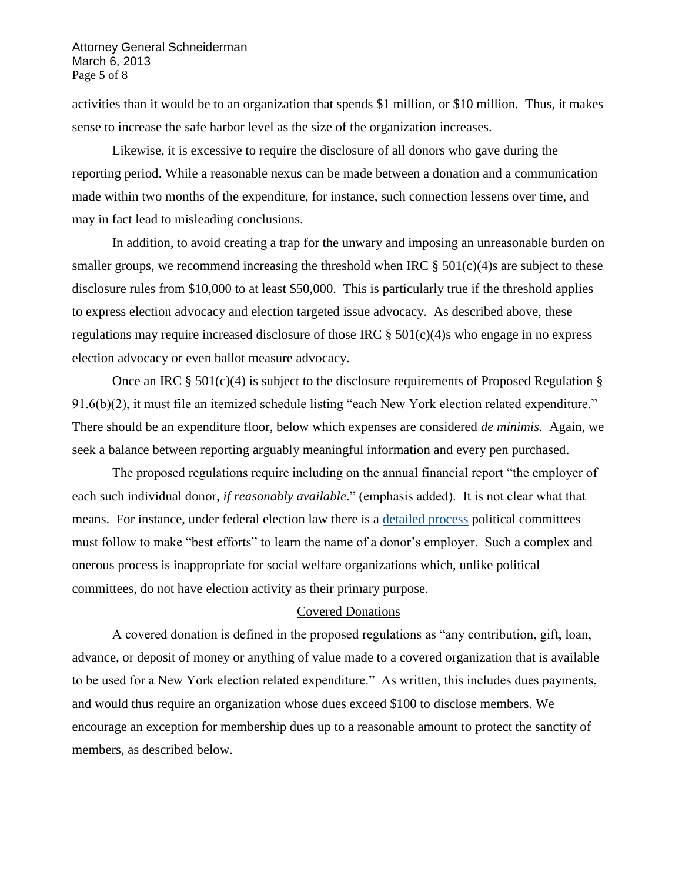Attorney General Schneiderman March 6, 2013 Page 5 of 8

activities than it would be to an organization that spends \$1 million, or \$10 million. Thus, it makes sense to increase the safe harbor level as the size of the organization increases.

Likewise, it is excessive to require the disclosure of all donors who gave during the reporting period. While a reasonable nexus can be made between a donation and a communication made within two months of the expenditure, for instance, such connection lessens over time, and may in fact lead to misleading conclusions.

In addition, to avoid creating a trap for the unwary and imposing an unreasonable burden on smaller groups, we recommend increasing the threshold when IRC  $\S 501(c)(4)$ s are subject to these disclosure rules from \$10,000 to at least \$50,000. This is particularly true if the threshold applies to express election advocacy and election targeted issue advocacy. As described above, these regulations may require increased disclosure of those IRC  $\S 501(c)(4)$ s who engage in no express election advocacy or even ballot measure advocacy.

Once an IRC  $\S$  501(c)(4) is subject to the disclosure requirements of Proposed Regulation  $\S$ 91.6(b)(2), it must file an itemized schedule listing "each New York election related expenditure." There should be an expenditure floor, below which expenses are considered *de minimis*. Again, we seek a balance between reporting arguably meaningful information and every pen purchased.

The proposed regulations require including on the annual financial report "the employer of each such individual donor, *if reasonably available*." (emphasis added). It is not clear what that means. For instance, under federal election law there is a [detailed process](http://www.fec.gov/pdf/colagui.pdf) political committees must follow to make "best efforts" to learn the name of a donor"s employer. Such a complex and onerous process is inappropriate for social welfare organizations which, unlike political committees, do not have election activity as their primary purpose.

#### Covered Donations

A covered donation is defined in the proposed regulations as "any contribution, gift, loan, advance, or deposit of money or anything of value made to a covered organization that is available to be used for a New York election related expenditure." As written, this includes dues payments, and would thus require an organization whose dues exceed \$100 to disclose members. We encourage an exception for membership dues up to a reasonable amount to protect the sanctity of members, as described below.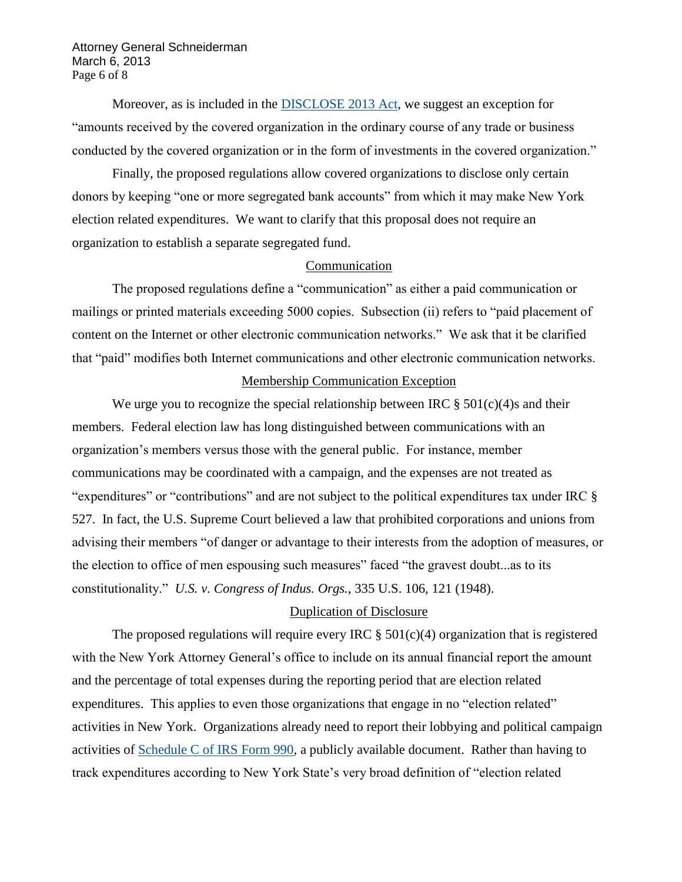Attorney General Schneiderman March 6, 2013 Page 6 of 8

Moreover, as is included in the [DISCLOSE 2013 Act,](http://www.gpo.gov/fdsys/pkg/BILLS-113hr148ih/pdf/BILLS-113hr148ih.pdf) we suggest an exception for "amounts received by the covered organization in the ordinary course of any trade or business conducted by the covered organization or in the form of investments in the covered organization."

Finally, the proposed regulations allow covered organizations to disclose only certain donors by keeping "one or more segregated bank accounts" from which it may make New York election related expenditures. We want to clarify that this proposal does not require an organization to establish a separate segregated fund.

## Communication

The proposed regulations define a "communication" as either a paid communication or mailings or printed materials exceeding 5000 copies. Subsection (ii) refers to "paid placement of content on the Internet or other electronic communication networks." We ask that it be clarified that "paid" modifies both Internet communications and other electronic communication networks.

## Membership Communication Exception

We urge you to recognize the special relationship between IRC  $\S 501(c)(4)$ s and their members. Federal election law has long distinguished between communications with an organization"s members versus those with the general public. For instance, member communications may be coordinated with a campaign, and the expenses are not treated as "expenditures" or "contributions" and are not subject to the political expenditures tax under IRC § 527. In fact, the U.S. Supreme Court believed a law that prohibited corporations and unions from advising their members "of danger or advantage to their interests from the adoption of measures, or the election to office of men espousing such measures" faced "the gravest doubt...as to its constitutionality." *U.S. v. Congress of Indus. Orgs.*, 335 U.S. 106, 121 (1948).

#### Duplication of Disclosure

The proposed regulations will require every IRC  $\S$  501(c)(4) organization that is registered with the New York Attorney General's office to include on its annual financial report the amount and the percentage of total expenses during the reporting period that are election related expenditures. This applies to even those organizations that engage in no "election related" activities in New York. Organizations already need to report their lobbying and political campaign activities of [Schedule C of IRS Form 990,](http://www.irs.gov/pub/irs-pdf/f990sc.pdf) a publicly available document. Rather than having to track expenditures according to New York State"s very broad definition of "election related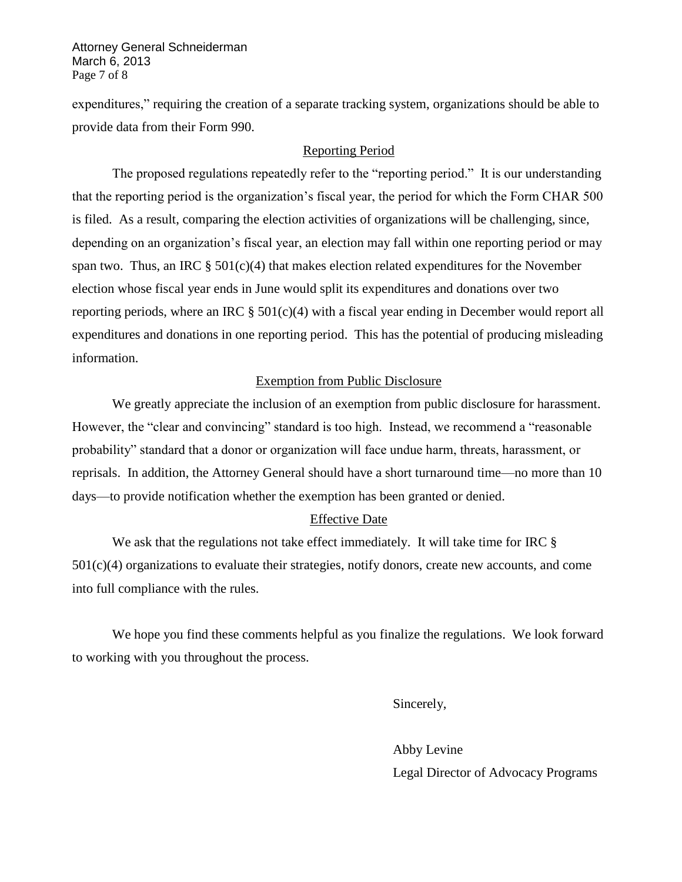Attorney General Schneiderman March 6, 2013 Page 7 of 8

expenditures," requiring the creation of a separate tracking system, organizations should be able to provide data from their Form 990.

# Reporting Period

The proposed regulations repeatedly refer to the "reporting period." It is our understanding that the reporting period is the organization"s fiscal year, the period for which the Form CHAR 500 is filed. As a result, comparing the election activities of organizations will be challenging, since, depending on an organization"s fiscal year, an election may fall within one reporting period or may span two. Thus, an IRC  $\S 501(c)(4)$  that makes election related expenditures for the November election whose fiscal year ends in June would split its expenditures and donations over two reporting periods, where an IRC  $\S 501(c)(4)$  with a fiscal year ending in December would report all expenditures and donations in one reporting period. This has the potential of producing misleading information.

## Exemption from Public Disclosure

We greatly appreciate the inclusion of an exemption from public disclosure for harassment. However, the "clear and convincing" standard is too high. Instead, we recommend a "reasonable probability" standard that a donor or organization will face undue harm, threats, harassment, or reprisals. In addition, the Attorney General should have a short turnaround time—no more than 10 days—to provide notification whether the exemption has been granted or denied.

# Effective Date

We ask that the regulations not take effect immediately. It will take time for IRC §  $501(c)(4)$  organizations to evaluate their strategies, notify donors, create new accounts, and come into full compliance with the rules.

We hope you find these comments helpful as you finalize the regulations. We look forward to working with you throughout the process.

Sincerely,

Abby Levine Legal Director of Advocacy Programs